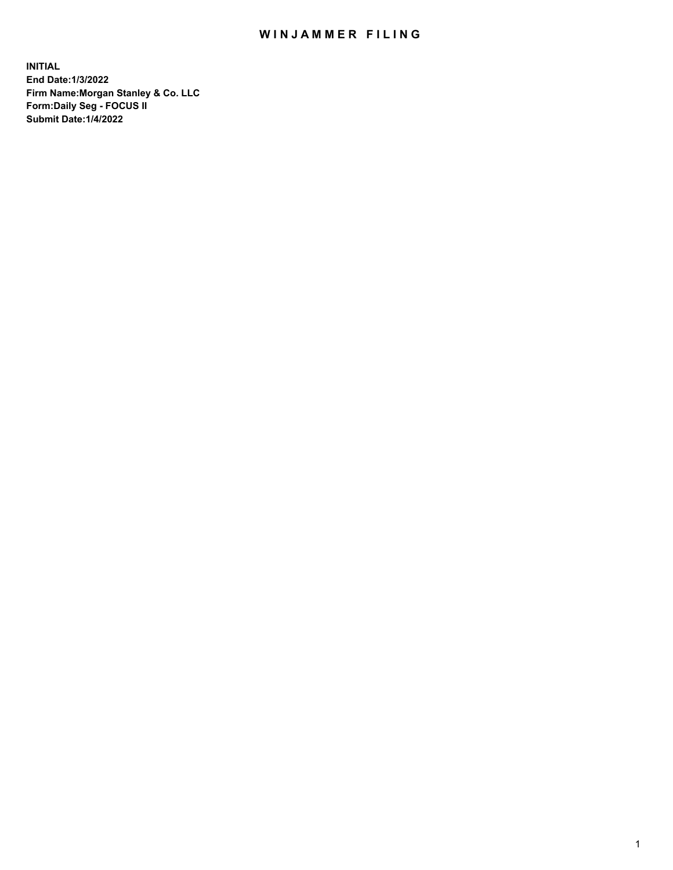## WIN JAMMER FILING

**INITIAL End Date:1/3/2022 Firm Name:Morgan Stanley & Co. LLC Form:Daily Seg - FOCUS II Submit Date:1/4/2022**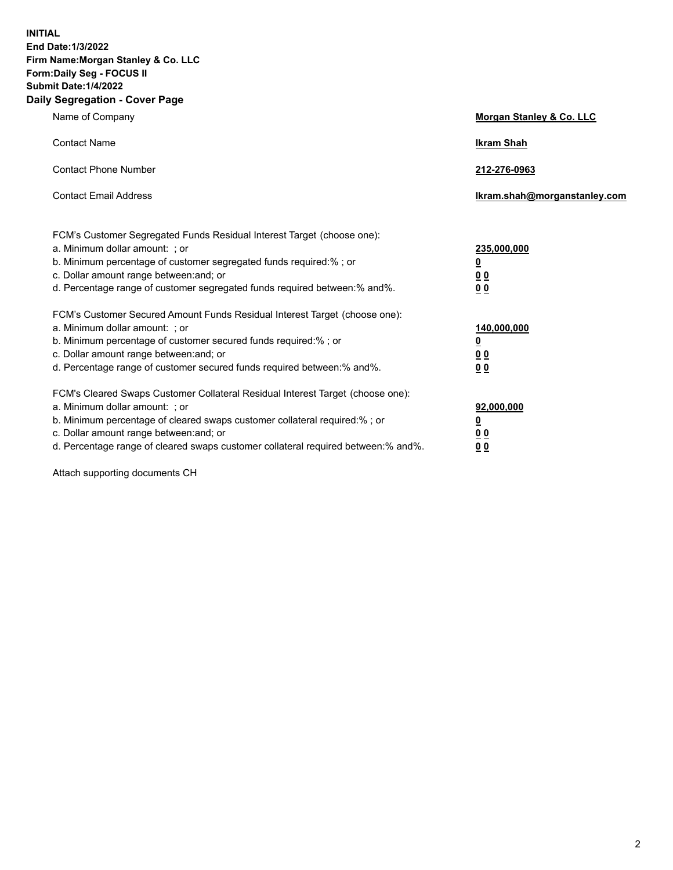**INITIAL End Date:1/3/2022 Firm Name:Morgan Stanley & Co. LLC Form:Daily Seg - FOCUS II Submit Date:1/4/2022 Daily Segregation - Cover Page**

| Name of Company                                                                                                                                                                                                                                                                                                               | Morgan Stanley & Co. LLC                               |
|-------------------------------------------------------------------------------------------------------------------------------------------------------------------------------------------------------------------------------------------------------------------------------------------------------------------------------|--------------------------------------------------------|
| <b>Contact Name</b>                                                                                                                                                                                                                                                                                                           | <b>Ikram Shah</b>                                      |
| <b>Contact Phone Number</b>                                                                                                                                                                                                                                                                                                   | 212-276-0963                                           |
| <b>Contact Email Address</b>                                                                                                                                                                                                                                                                                                  | Ikram.shah@morganstanley.com                           |
| FCM's Customer Segregated Funds Residual Interest Target (choose one):<br>a. Minimum dollar amount: : or<br>b. Minimum percentage of customer segregated funds required:% ; or<br>c. Dollar amount range between: and; or<br>d. Percentage range of customer segregated funds required between:% and%.                        | 235,000,000<br><u>0</u><br><u>00</u><br>0 <sup>0</sup> |
| FCM's Customer Secured Amount Funds Residual Interest Target (choose one):<br>a. Minimum dollar amount: ; or<br>b. Minimum percentage of customer secured funds required:%; or<br>c. Dollar amount range between: and; or<br>d. Percentage range of customer secured funds required between:% and%.                           | 140,000,000<br><u>0</u><br><u>00</u><br>0 <sup>0</sup> |
| FCM's Cleared Swaps Customer Collateral Residual Interest Target (choose one):<br>a. Minimum dollar amount: ; or<br>b. Minimum percentage of cleared swaps customer collateral required:%; or<br>c. Dollar amount range between: and; or<br>d. Percentage range of cleared swaps customer collateral required between:% and%. | 92,000,000<br><u>0</u><br><u>00</u><br>00              |

Attach supporting documents CH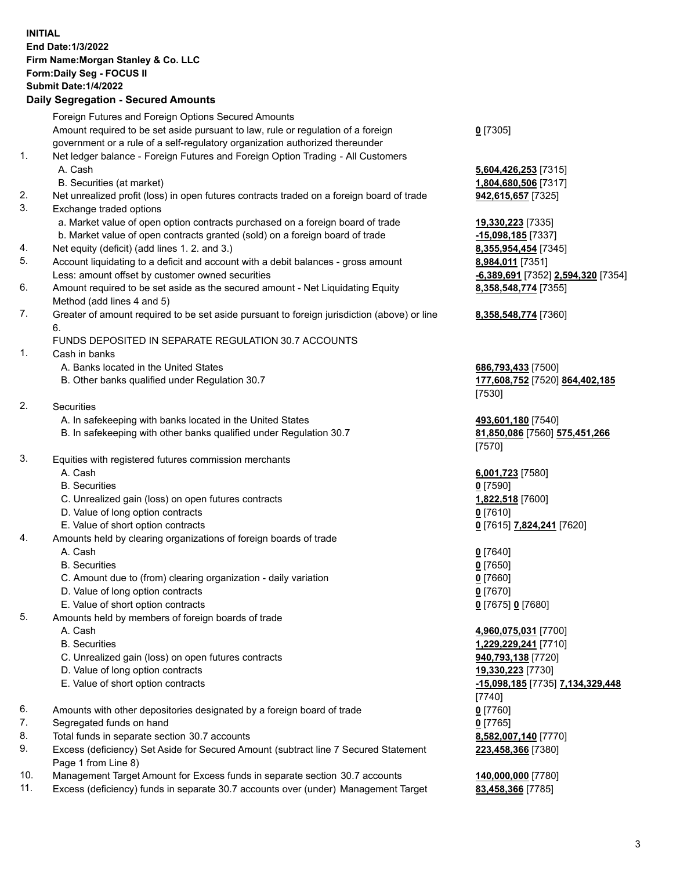## **INITIAL End Date:1/3/2022 Firm Name:Morgan Stanley & Co. LLC Form:Daily Seg - FOCUS II Submit Date:1/4/2022 Daily Segregation - Secured Amounts** Foreign Futures and Foreign Options Secured Amounts Amount required to be set aside pursuant to law, rule or regulation of a foreign government or a rule of a self-regulatory organization authorized thereunder 1. Net ledger balance - Foreign Futures and Foreign Option Trading - All Customers A. Cash **5,604,426,253** [7315] B. Securities (at market) **1,804,680,506** [7317] 2. Net unrealized profit (loss) in open futures contracts traded on a foreign board of trade **942,615,657** [7325] 3. Exchange traded options a. Market value of open option contracts purchased on a foreign board of trade **19,330,223** [7335] b. Market value of open contracts granted (sold) on a foreign board of trade **-15,098,185** [7337] 4. Net equity (deficit) (add lines 1. 2. and 3.) **8,355,954,454** [7345] 5. Account liquidating to a deficit and account with a debit balances - gross amount **8,984,011** [7351] Less: amount offset by customer owned securities **-6,389,691** [7352] **2,594,320** [7354] 6. Amount required to be set aside as the secured amount - Net Liquidating Equity Method (add lines 4 and 5) 7. Greater of amount required to be set aside pursuant to foreign jurisdiction (above) or line 6. FUNDS DEPOSITED IN SEPARATE REGULATION 30.7 ACCOUNTS 1. Cash in banks A. Banks located in the United States **686,793,433** [7500] B. Other banks qualified under Regulation 30.7 **177,608,752** [7520] **864,402,185** 2. Securities A. In safekeeping with banks located in the United States **493,601,180** [7540] B. In safekeeping with other banks qualified under Regulation 30.7 **81,850,086** [7560] **575,451,266** 3. Equities with registered futures commission merchants A. Cash **6,001,723** [7580] B. Securities **0** [7590] C. Unrealized gain (loss) on open futures contracts **1,822,518** [7600] D. Value of long option contracts **0** [7610] E. Value of short option contracts **0** [7615] **7,824,241** [7620] 4. Amounts held by clearing organizations of foreign boards of trade A. Cash **0** [7640] B. Securities **0** [7650] C. Amount due to (from) clearing organization - daily variation **0** [7660] D. Value of long option contracts **0** [7670] E. Value of short option contracts **0** [7675] **0** [7680] 5. Amounts held by members of foreign boards of trade A. Cash **4,960,075,031** [7700]

- 
- C. Unrealized gain (loss) on open futures contracts **940,793,138** [7720]
- D. Value of long option contracts **19,330,223** [7730]
- E. Value of short option contracts **-15,098,185** [7735] **7,134,329,448**
- 6. Amounts with other depositories designated by a foreign board of trade **0** [7760]
- 7. Segregated funds on hand **0** [7765]
- 8. Total funds in separate section 30.7 accounts **8,582,007,140** [7770]
- 9. Excess (deficiency) Set Aside for Secured Amount (subtract line 7 Secured Statement Page 1 from Line 8)
- 10. Management Target Amount for Excess funds in separate section 30.7 accounts **140,000,000** [7780]
- 11. Excess (deficiency) funds in separate 30.7 accounts over (under) Management Target **83,458,366** [7785]

**0** [7305]

**8,358,548,774** [7355]

## **8,358,548,774** [7360]

[7530]

[7570]

 B. Securities **1,229,229,241** [7710] [7740] **223,458,366** [7380]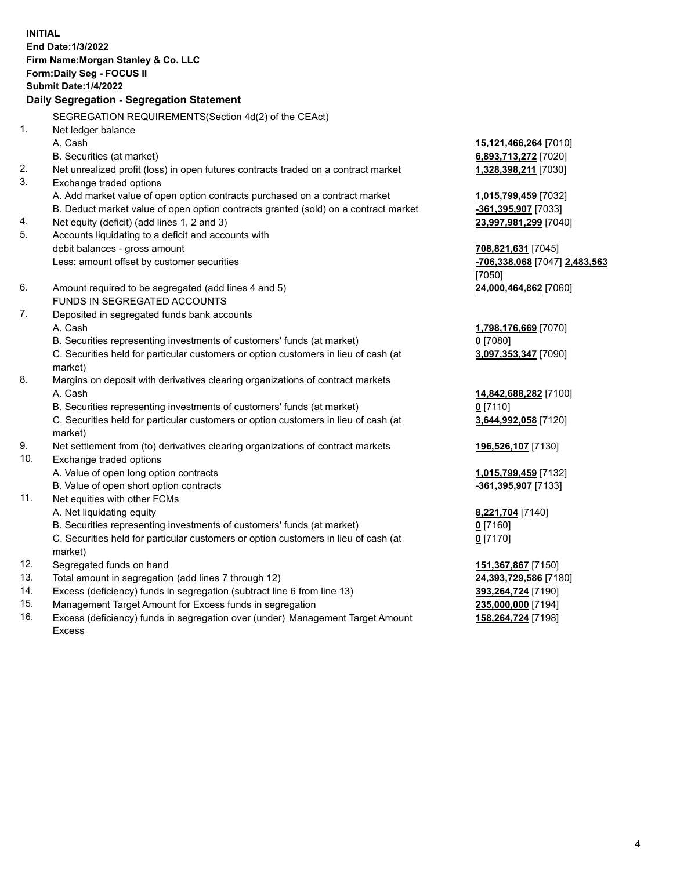**INITIAL End Date:1/3/2022 Firm Name:Morgan Stanley & Co. LLC Form:Daily Seg - FOCUS II Submit Date:1/4/2022 Daily Segregation - Segregation Statement** SEGREGATION REQUIREMENTS(Section 4d(2) of the CEAct) 1. Net ledger balance A. Cash **15,121,466,264** [7010] B. Securities (at market) **6,893,713,272** [7020] 2. Net unrealized profit (loss) in open futures contracts traded on a contract market **1,328,398,211** [7030] 3. Exchange traded options A. Add market value of open option contracts purchased on a contract market **1,015,799,459** [7032] B. Deduct market value of open option contracts granted (sold) on a contract market **-361,395,907** [7033] 4. Net equity (deficit) (add lines 1, 2 and 3) **23,997,981,299** [7040] 5. Accounts liquidating to a deficit and accounts with debit balances - gross amount **708,821,631** [7045] Less: amount offset by customer securities **-706,338,068** [7047] **2,483,563** [7050] 6. Amount required to be segregated (add lines 4 and 5) **24,000,464,862** [7060] FUNDS IN SEGREGATED ACCOUNTS 7. Deposited in segregated funds bank accounts A. Cash **1,798,176,669** [7070] B. Securities representing investments of customers' funds (at market) **0** [7080] C. Securities held for particular customers or option customers in lieu of cash (at market) **3,097,353,347** [7090] 8. Margins on deposit with derivatives clearing organizations of contract markets A. Cash **14,842,688,282** [7100] B. Securities representing investments of customers' funds (at market) **0** [7110] C. Securities held for particular customers or option customers in lieu of cash (at market) **3,644,992,058** [7120] 9. Net settlement from (to) derivatives clearing organizations of contract markets **196,526,107** [7130] 10. Exchange traded options A. Value of open long option contracts **1,015,799,459** [7132] B. Value of open short option contracts **-361,395,907** [7133] 11. Net equities with other FCMs A. Net liquidating equity **8,221,704** [7140] B. Securities representing investments of customers' funds (at market) **0** [7160] C. Securities held for particular customers or option customers in lieu of cash (at market) **0** [7170] 12. Segregated funds on hand **151,367,867** [7150] 13. Total amount in segregation (add lines 7 through 12) **24,393,729,586** [7180] 14. Excess (deficiency) funds in segregation (subtract line 6 from line 13) **393,264,724** [7190] 15. Management Target Amount for Excess funds in segregation **235,000,000** [7194]

16. Excess (deficiency) funds in segregation over (under) Management Target Amount Excess

**158,264,724** [7198]